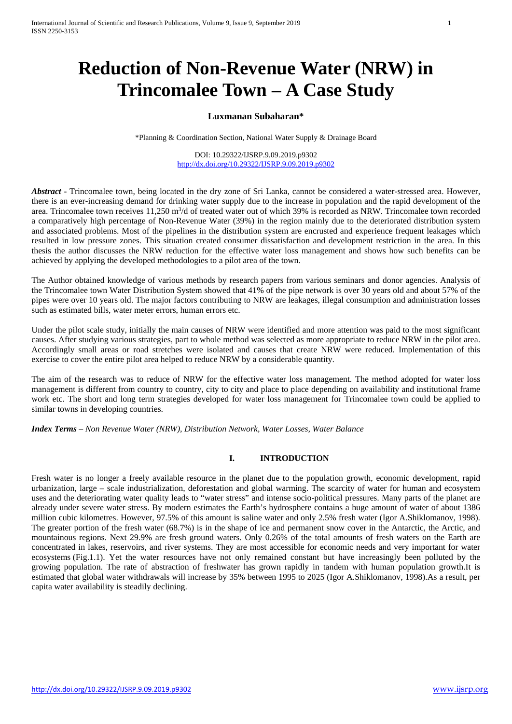# **Reduction of Non-Revenue Water (NRW) in Trincomalee Town – A Case Study**

# **Luxmanan Subaharan\***

\*Planning & Coordination Section, National Water Supply & Drainage Board

DOI: 10.29322/IJSRP.9.09.2019.p9302 <http://dx.doi.org/10.29322/IJSRP.9.09.2019.p9302>

*Abstract* **-** Trincomalee town, being located in the dry zone of Sri Lanka, cannot be considered a water-stressed area. However, there is an ever-increasing demand for drinking water supply due to the increase in population and the rapid development of the area. Trincomalee town receives 11,250 m<sup>3</sup>/d of treated water out of which 39% is recorded as NRW. Trincomalee town recorded a comparatively high percentage of Non-Revenue Water (39%) in the region mainly due to the deteriorated distribution system and associated problems. Most of the pipelines in the distribution system are encrusted and experience frequent leakages which resulted in low pressure zones. This situation created consumer dissatisfaction and development restriction in the area. In this thesis the author discusses the NRW reduction for the effective water loss management and shows how such benefits can be achieved by applying the developed methodologies to a pilot area of the town.

The Author obtained knowledge of various methods by research papers from various seminars and donor agencies. Analysis of the Trincomalee town Water Distribution System showed that 41% of the pipe network is over 30 years old and about 57% of the pipes were over 10 years old. The major factors contributing to NRW are leakages, illegal consumption and administration losses such as estimated bills, water meter errors, human errors etc.

Under the pilot scale study, initially the main causes of NRW were identified and more attention was paid to the most significant causes. After studying various strategies, part to whole method was selected as more appropriate to reduce NRW in the pilot area. Accordingly small areas or road stretches were isolated and causes that create NRW were reduced. Implementation of this exercise to cover the entire pilot area helped to reduce NRW by a considerable quantity.

The aim of the research was to reduce of NRW for the effective water loss management. The method adopted for water loss management is different from country to country, city to city and place to place depending on availability and institutional frame work etc. The short and long term strategies developed for water loss management for Trincomalee town could be applied to similar towns in developing countries.

*Index Terms* – *Non Revenue Water (NRW), Distribution Network, Water Losses, Water Balance*

# **I. INTRODUCTION**

Fresh water is no longer a freely available resource in the planet due to the population growth, economic development, rapid urbanization, large – scale industrialization, deforestation and global warming. The scarcity of water for human and ecosystem uses and the deteriorating water quality leads to "water stress" and intense socio-political pressures. Many parts of the planet are already under severe water stress. By modern estimates the Earth's hydrosphere contains a huge amount of water of about 1386 million cubic kilometres. However, 97.5% of this amount is saline water and only 2.5% fresh water (Igor A.Shiklomanov, 1998). The greater portion of the fresh water (68.7%) is in the shape of ice and permanent snow cover in the Antarctic, the Arctic, and mountainous regions. Next 29.9% are fresh ground waters. Only 0.26% of the total amounts of fresh waters on the Earth are concentrated in lakes, reservoirs, and river systems. They are most accessible for economic needs and very important for water ecosystems (Fig.1.1). Yet the water resources have not only remained constant but have increasingly been polluted by the growing population. The rate of abstraction of freshwater has grown rapidly in tandem with human population growth.It is estimated that global water withdrawals will increase by 35% between 1995 to 2025 (Igor A.Shiklomanov, 1998).As a result, per capita water availability is steadily declining.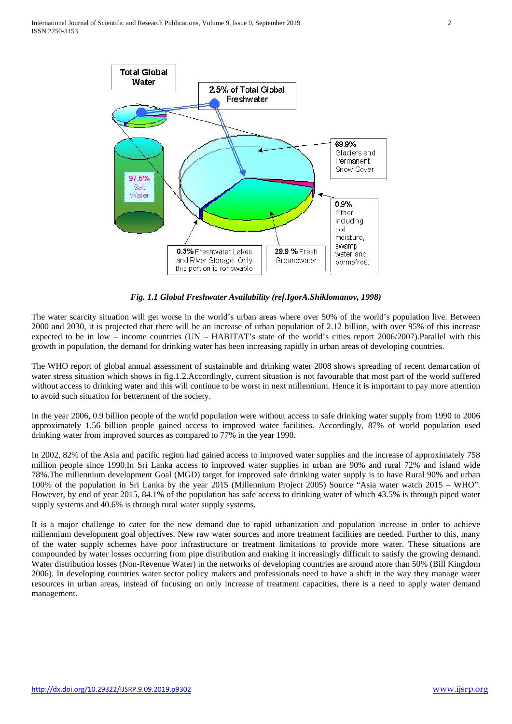International Journal of Scientific and Research Publications, Volume 9, Issue 9, September 2019 2 ISSN 2250-3153



*Fig. 1.1 Global Freshwater Availability (ref.IgorA.Shiklomanov, 1998)*

The water scarcity situation will get worse in the world's urban areas where over 50% of the world's population live. Between 2000 and 2030, it is projected that there will be an increase of urban population of 2.12 billion, with over 95% of this increase expected to be in low – income countries (UN – HABITAT's state of the world's cities report 2006/2007).Parallel with this growth in population, the demand for drinking water has been increasing rapidly in urban areas of developing countries.

The WHO report of global annual assessment of sustainable and drinking water 2008 shows spreading of recent demarcation of water stress situation which shows in fig.1.2.Accordingly, current situation is not favourable that most part of the world suffered without access to drinking water and this will continue to be worst in next millennium. Hence it is important to pay more attention to avoid such situation for betterment of the society.

In the year 2006, 0.9 billion people of the world population were without access to safe drinking water supply from 1990 to 2006 approximately 1.56 billion people gained access to improved water facilities. Accordingly, 87% of world population used drinking water from improved sources as compared to 77% in the year 1990.

In 2002, 82% of the Asia and pacific region had gained access to improved water supplies and the increase of approximately 758 million people since 1990.In Sri Lanka access to improved water supplies in urban are 90% and rural 72% and island wide 78%.The millennium development Goal (MGD) target for improved safe drinking water supply is to have Rural 90% and urban 100% of the population in Sri Lanka by the year 2015 (Millennium Project 2005) Source "Asia water watch 2015 – WHO". However, by end of year 2015, 84.1% of the population has safe access to drinking water of which 43.5% is through piped water supply systems and 40.6% is through rural water supply systems.

It is a major challenge to cater for the new demand due to rapid urbanization and population increase in order to achieve millennium development goal objectives. New raw water sources and more treatment facilities are needed. Further to this, many of the water supply schemes have poor infrastructure or treatment limitations to provide more water. These situations are compounded by water losses occurring from pipe distribution and making it increasingly difficult to satisfy the growing demand. Water distribution losses (Non-Revenue Water) in the networks of developing countries are around more than 50% (Bill Kingdom 2006). In developing countries water sector policy makers and professionals need to have a shift in the way they manage water resources in urban areas, instead of focusing on only increase of treatment capacities, there is a need to apply water demand management.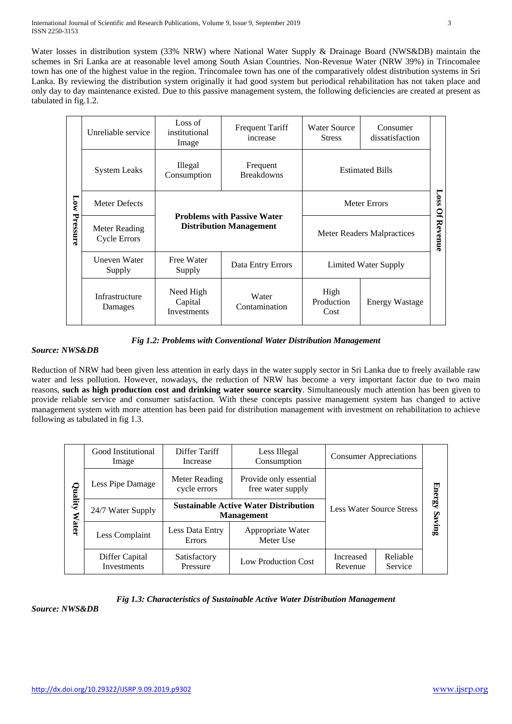Water losses in distribution system (33% NRW) where National Water Supply & Drainage Board (NWS&DB) maintain the schemes in Sri Lanka are at reasonable level among South Asian Countries. Non-Revenue Water (NRW 39%) in Trincomalee town has one of the highest value in the region. Trincomalee town has one of the comparatively oldest distribution systems in Sri Lanka. By reviewing the distribution system originally it had good system but periodical rehabilitation has not taken place and only day to day maintenance existed. Due to this passive management system, the following deficiencies are created at present as tabulated in fig.1.2.

|          | Unreliable service                             | Loss of<br>institutional<br>Image                       | <b>Frequent Tariff</b><br>increase                                   |                                                     | Consumer<br>dissatisfaction |                 |  |
|----------|------------------------------------------------|---------------------------------------------------------|----------------------------------------------------------------------|-----------------------------------------------------|-----------------------------|-----------------|--|
|          | <b>System Leaks</b>                            | Illegal<br>Frequent<br><b>Breakdowns</b><br>Consumption |                                                                      | <b>Estimated Bills</b>                              |                             |                 |  |
| Low      | <b>Meter Defects</b>                           |                                                         |                                                                      | <b>Meter Errors</b>                                 |                             |                 |  |
| Pressure | Meter Reading<br><b>Cycle Errors</b>           |                                                         | <b>Problems with Passive Water</b><br><b>Distribution Management</b> | <b>Meter Readers Malpractices</b>                   |                             | Loss Of Revenue |  |
|          | Uneven Water<br>Free Water<br>Supply<br>Supply |                                                         | Data Entry Errors                                                    | Limited Water Supply                                |                             |                 |  |
|          | Infrastructure<br>Damages                      | Need High<br>Capital<br>Investments                     | Water<br>Contamination                                               | High<br>Production<br><b>Energy Wastage</b><br>Cost |                             |                 |  |

## *Fig 1.2: Problems with Conventional Water Distribution Management*

## *Source: NWS&DB*

Reduction of NRW had been given less attention in early days in the water supply sector in Sri Lanka due to freely available raw water and less pollution. However, nowadays, the reduction of NRW has become a very important factor due to two main reasons, **such as high production cost and drinking water source scarcity**. Simultaneously much attention has been given to provide reliable service and consumer satisfaction. With these concepts passive management system has changed to active management system with more attention has been paid for distribution management with investment on rehabilitation to achieve following as tabulated in fig 1.3.

| Quality      | Good Institutional<br>Image   | Differ Tariff<br>Increase                                                    | Less Illegal<br>Consumption                                       | <b>Consumer Appreciations</b>   |                     |               |
|--------------|-------------------------------|------------------------------------------------------------------------------|-------------------------------------------------------------------|---------------------------------|---------------------|---------------|
|              | Less Pipe Damage              | Provide only essential<br>Meter Reading<br>cycle errors<br>free water supply |                                                                   |                                 |                     | <b>Energy</b> |
|              | 24/7 Water Supply             |                                                                              | <b>Sustainable Active Water Distribution</b><br><b>Management</b> | <b>Less Water Source Stress</b> |                     |               |
| <b>Water</b> | Less Complaint                | Less Data Entry<br><b>Errors</b>                                             | Appropriate Water<br>Meter Use                                    |                                 |                     | Saving        |
|              | Differ Capital<br>Investments | Satisfactory<br>Pressure                                                     | Low Production Cost                                               | Increased<br>Revenue            | Reliable<br>Service |               |

## *Fig 1.3: Characteristics of Sustainable Active Water Distribution Management*

*Source: NWS&DB*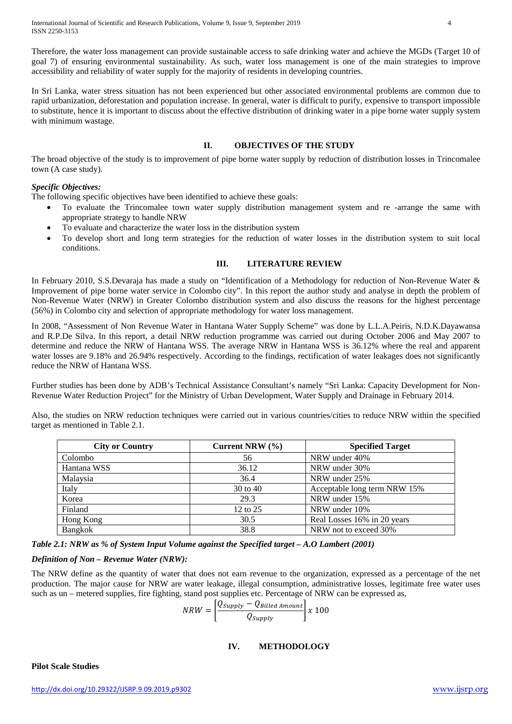International Journal of Scientific and Research Publications, Volume 9, Issue 9, September 2019 4 ISSN 2250-3153

Therefore, the water loss management can provide sustainable access to safe drinking water and achieve the MGDs (Target 10 of goal 7) of ensuring environmental sustainability. As such, water loss management is one of the main strategies to improve accessibility and reliability of water supply for the majority of residents in developing countries.

In Sri Lanka, water stress situation has not been experienced but other associated environmental problems are common due to rapid urbanization, deforestation and population increase. In general, water is difficult to purify, expensive to transport impossible to substitute, hence it is important to discuss about the effective distribution of drinking water in a pipe borne water supply system with minimum wastage.

#### **II. OBJECTIVES OF THE STUDY**

The broad objective of the study is to improvement of pipe borne water supply by reduction of distribution losses in Trincomalee town (A case study).

#### *Specific Objectives:*

The following specific objectives have been identified to achieve these goals:

- To evaluate the Trincomalee town water supply distribution management system and re -arrange the same with appropriate strategy to handle NRW
- To evaluate and characterize the water loss in the distribution system
- To develop short and long term strategies for the reduction of water losses in the distribution system to suit local conditions.

#### **III. LITERATURE REVIEW**

In February 2010, S.S.Devaraja has made a study on "Identification of a Methodology for reduction of Non-Revenue Water & Improvement of pipe borne water service in Colombo city". In this report the author study and analyse in depth the problem of Non-Revenue Water (NRW) in Greater Colombo distribution system and also discuss the reasons for the highest percentage (56%) in Colombo city and selection of appropriate methodology for water loss management.

In 2008, "Assessment of Non Revenue Water in Hantana Water Supply Scheme" was done by L.L.A.Peiris, N.D.K.Dayawansa and R.P.De Silva. In this report, a detail NRW reduction programme was carried out during October 2006 and May 2007 to determine and reduce the NRW of Hantana WSS. The average NRW in Hantana WSS is 36.12% where the real and apparent water losses are 9.18% and 26.94% respectively. According to the findings, rectification of water leakages does not significantly reduce the NRW of Hantana WSS.

Further studies has been done by ADB's Technical Assistance Consultant's namely "Sri Lanka: Capacity Development for Non-Revenue Water Reduction Project" for the Ministry of Urban Development, Water Supply and Drainage in February 2014.

Also, the studies on NRW reduction techniques were carried out in various countries/cities to reduce NRW within the specified target as mentioned in Table 2.1.

| <b>City or Country</b> | Current NRW $(\% )$ | <b>Specified Target</b>      |
|------------------------|---------------------|------------------------------|
| Colombo                | 56                  | NRW under 40%                |
| Hantana WSS            | 36.12               | NRW under 30%                |
| Malaysia               | 36.4                | NRW under 25%                |
| Italy                  | 30 to 40            | Acceptable long term NRW 15% |
| Korea                  | 29.3                | NRW under 15%                |
| Finland                | 12 to 25            | NRW under 10%                |
| Hong Kong              | 30.5                | Real Losses 16% in 20 years  |
| <b>Bangkok</b>         | 38.8                | NRW not to exceed 30%        |

*Table 2.1: NRW as % of System Input Volume against the Specified target – A.O Lambert (2001)*

#### *Definition of Non – Revenue Water (NRW):*

The NRW define as the quantity of water that does not earn revenue to the organization, expressed as a percentage of the net production. The major cause for NRW are water leakage, illegal consumption, administrative losses, legitimate free water uses such as un – metered supplies, fire fighting, stand post supplies etc. Percentage of NRW can be expressed as,

$$
NRW = \left[\frac{Q_{supply} - Q_{Billed\ Amount}}{Q_{supply}}\right] x\ 100
$$

#### **IV. METHODOLOGY**

**Pilot Scale Studies**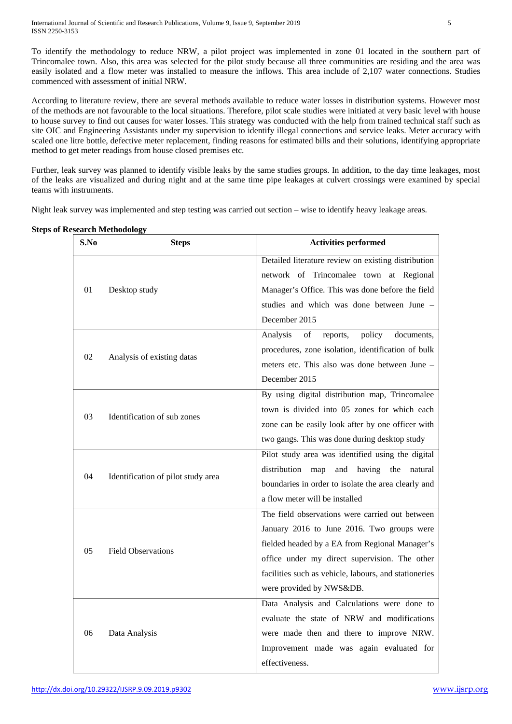To identify the methodology to reduce NRW, a pilot project was implemented in zone 01 located in the southern part of Trincomalee town. Also, this area was selected for the pilot study because all three communities are residing and the area was easily isolated and a flow meter was installed to measure the inflows. This area include of 2,107 water connections. Studies commenced with assessment of initial NRW.

According to literature review, there are several methods available to reduce water losses in distribution systems. However most of the methods are not favourable to the local situations. Therefore, pilot scale studies were initiated at very basic level with house to house survey to find out causes for water losses. This strategy was conducted with the help from trained technical staff such as site OIC and Engineering Assistants under my supervision to identify illegal connections and service leaks. Meter accuracy with scaled one litre bottle, defective meter replacement, finding reasons for estimated bills and their solutions, identifying appropriate method to get meter readings from house closed premises etc.

Further, leak survey was planned to identify visible leaks by the same studies groups. In addition, to the day time leakages, most of the leaks are visualized and during night and at the same time pipe leakages at culvert crossings were examined by special teams with instruments.

Night leak survey was implemented and step testing was carried out section – wise to identify heavy leakage areas.

| S.No | <b>Steps</b>                       | <b>Activities performed</b>                            |  |  |
|------|------------------------------------|--------------------------------------------------------|--|--|
|      |                                    | Detailed literature review on existing distribution    |  |  |
|      |                                    | network of Trincomalee town at Regional                |  |  |
| 01   | Desktop study                      | Manager's Office. This was done before the field       |  |  |
|      |                                    | studies and which was done between June -              |  |  |
|      |                                    | December 2015                                          |  |  |
|      |                                    | reports,<br>policy<br>documents,<br>Analysis<br>of     |  |  |
| 02   |                                    | procedures, zone isolation, identification of bulk     |  |  |
|      | Analysis of existing datas         | meters etc. This also was done between June -          |  |  |
|      |                                    | December 2015                                          |  |  |
|      |                                    | By using digital distribution map, Trincomalee         |  |  |
|      | Identification of sub zones        | town is divided into 05 zones for which each           |  |  |
| 03   |                                    | zone can be easily look after by one officer with      |  |  |
|      |                                    | two gangs. This was done during desktop study          |  |  |
|      | Identification of pilot study area | Pilot study area was identified using the digital      |  |  |
| 04   |                                    | distribution<br>having<br>map<br>and<br>the<br>natural |  |  |
|      |                                    | boundaries in order to isolate the area clearly and    |  |  |
|      |                                    | a flow meter will be installed                         |  |  |
|      |                                    | The field observations were carried out between        |  |  |
|      | <b>Field Observations</b>          | January 2016 to June 2016. Two groups were             |  |  |
| 05   |                                    | fielded headed by a EA from Regional Manager's         |  |  |
|      |                                    | office under my direct supervision. The other          |  |  |
|      |                                    | facilities such as vehicle, labours, and stationeries  |  |  |
|      |                                    | were provided by NWS&DB.                               |  |  |
|      |                                    | Data Analysis and Calculations were done to            |  |  |
|      | Data Analysis                      | evaluate the state of NRW and modifications            |  |  |
| 06   |                                    | were made then and there to improve NRW.               |  |  |
|      |                                    | Improvement made was again evaluated for               |  |  |
|      |                                    | effectiveness.                                         |  |  |

## **Steps of Research Methodology**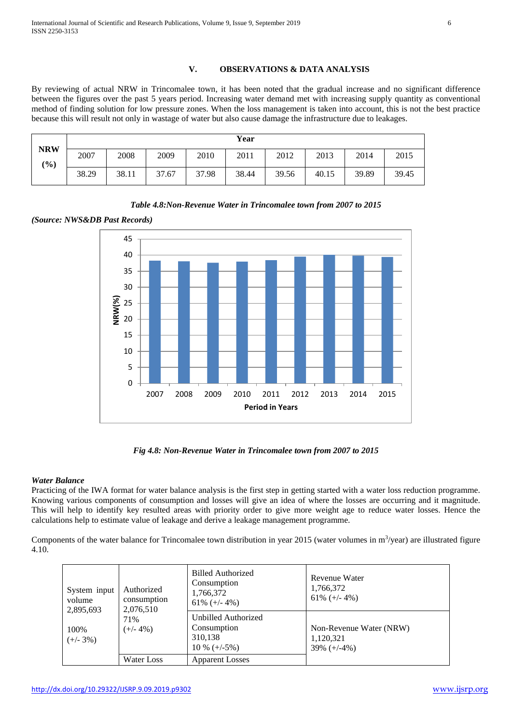## **V. OBSERVATIONS & DATA ANALYSIS**

By reviewing of actual NRW in Trincomalee town, it has been noted that the gradual increase and no significant difference between the figures over the past 5 years period. Increasing water demand met with increasing supply quantity as conventional method of finding solution for low pressure zones. When the loss management is taken into account, this is not the best practice because this will result not only in wastage of water but also cause damage the infrastructure due to leakages.

|                   |       | Year  |       |       |       |       |       |       |       |
|-------------------|-------|-------|-------|-------|-------|-------|-------|-------|-------|
| <b>NRW</b><br>(%) | 2007  | 2008  | 2009  | 2010  | 2011  | 2012  | 2013  | 2014  | 2015  |
|                   | 38.29 | 38.11 | 37.67 | 37.98 | 38.44 | 39.56 | 40.15 | 39.89 | 39.45 |

*Table 4.8:Non-Revenue Water in Trincomalee town from 2007 to 2015* 

*(Source: NWS&DB Past Records)*



*Fig 4.8: Non-Revenue Water in Trincomalee town from 2007 to 2015*

## *Water Balance*

Practicing of the IWA format for water balance analysis is the first step in getting started with a water loss reduction programme. Knowing various components of consumption and losses will give an idea of where the losses are occurring and it magnitude. This will help to identify key resulted areas with priority order to give more weight age to reduce water losses. Hence the calculations help to estimate value of leakage and derive a leakage management programme.

Components of the water balance for Trincomalee town distribution in year 2015 (water volumes in  $m^3$ /year) are illustrated figure 4.10.

| System input<br>volume<br>2,895,693 | Authorized<br>consumption<br>2,076,510 | <b>Billed Authorized</b><br>Consumption<br>1,766,372<br>61% $(+/- 4%)$ | Revenue Water<br>1,766,372<br>61\% $(+/- 4\%)$          |
|-------------------------------------|----------------------------------------|------------------------------------------------------------------------|---------------------------------------------------------|
| 100%<br>$(+/- 3%)$                  | 71%<br>$(+/- 4\%)$                     | Unbilled Authorized<br>Consumption<br>310,138<br>$10\% (+/-5\%)$       | Non-Revenue Water (NRW)<br>1,120,321<br>$39\% (+/-4\%)$ |
|                                     | Water Loss                             | <b>Apparent Losses</b>                                                 |                                                         |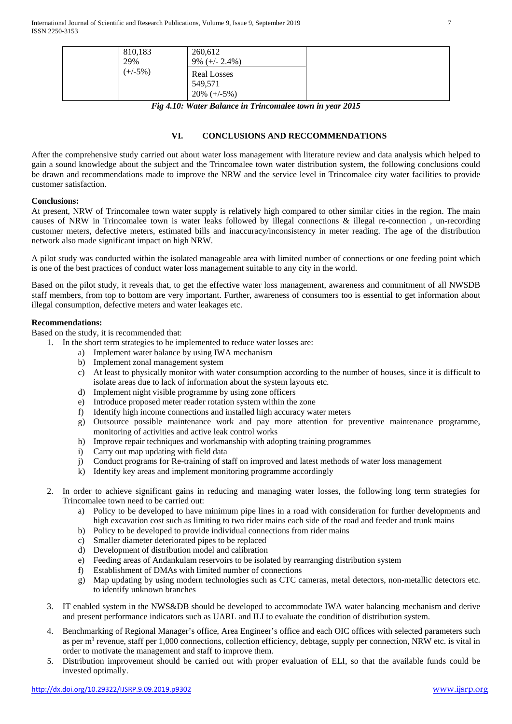| 810,183<br>29% | 260,612<br>$9\%$ (+/- 2.4%)   |  |
|----------------|-------------------------------|--|
| $(+/-5%)$      | <b>Real Losses</b><br>549,571 |  |
|                | $20\% (+/-5\%)$               |  |

*Fig 4.10: Water Balance in Trincomalee town in year 2015*

#### **VI. CONCLUSIONS AND RECCOMMENDATIONS**

After the comprehensive study carried out about water loss management with literature review and data analysis which helped to gain a sound knowledge about the subject and the Trincomalee town water distribution system, the following conclusions could be drawn and recommendations made to improve the NRW and the service level in Trincomalee city water facilities to provide customer satisfaction.

#### **Conclusions:**

At present, NRW of Trincomalee town water supply is relatively high compared to other similar cities in the region. The main causes of NRW in Trincomalee town is water leaks followed by illegal connections & illegal re-connection , un-recording customer meters, defective meters, estimated bills and inaccuracy/inconsistency in meter reading. The age of the distribution network also made significant impact on high NRW.

A pilot study was conducted within the isolated manageable area with limited number of connections or one feeding point which is one of the best practices of conduct water loss management suitable to any city in the world.

Based on the pilot study, it reveals that, to get the effective water loss management, awareness and commitment of all NWSDB staff members, from top to bottom are very important. Further, awareness of consumers too is essential to get information about illegal consumption, defective meters and water leakages etc.

## **Recommendations:**

Based on the study, it is recommended that:

- 1. In the short term strategies to be implemented to reduce water losses are:
	- a) Implement water balance by using IWA mechanism
	- b) Implement zonal management system
	- c) At least to physically monitor with water consumption according to the number of houses, since it is difficult to isolate areas due to lack of information about the system layouts etc.
	- d) Implement night visible programme by using zone officers
	- e) Introduce proposed meter reader rotation system within the zone
	- f) Identify high income connections and installed high accuracy water meters
	- g) Outsource possible maintenance work and pay more attention for preventive maintenance programme, monitoring of activities and active leak control works
	- h) Improve repair techniques and workmanship with adopting training programmes
	- i) Carry out map updating with field data
	- j) Conduct programs for Re-training of staff on improved and latest methods of water loss management
	- k) Identify key areas and implement monitoring programme accordingly
- 2. In order to achieve significant gains in reducing and managing water losses, the following long term strategies for Trincomalee town need to be carried out:
	- a) Policy to be developed to have minimum pipe lines in a road with consideration for further developments and high excavation cost such as limiting to two rider mains each side of the road and feeder and trunk mains
	- b) Policy to be developed to provide individual connections from rider mains
	- c) Smaller diameter deteriorated pipes to be replaced
	- d) Development of distribution model and calibration
	- e) Feeding areas of Andankulam reservoirs to be isolated by rearranging distribution system
	- f) Establishment of DMAs with limited number of connections
	- g) Map updating by using modern technologies such as CTC cameras, metal detectors, non-metallic detectors etc. to identify unknown branches
- 3. IT enabled system in the NWS&DB should be developed to accommodate IWA water balancing mechanism and derive and present performance indicators such as UARL and ILI to evaluate the condition of distribution system.
- 4. Benchmarking of Regional Manager's office, Area Engineer's office and each OIC offices with selected parameters such as per m<sup>3</sup> revenue, staff per 1,000 connections, collection efficiency, debtage, supply per connection, NRW etc. is vital in order to motivate the management and staff to improve them.
- 5. Distribution improvement should be carried out with proper evaluation of ELI, so that the available funds could be invested optimally.